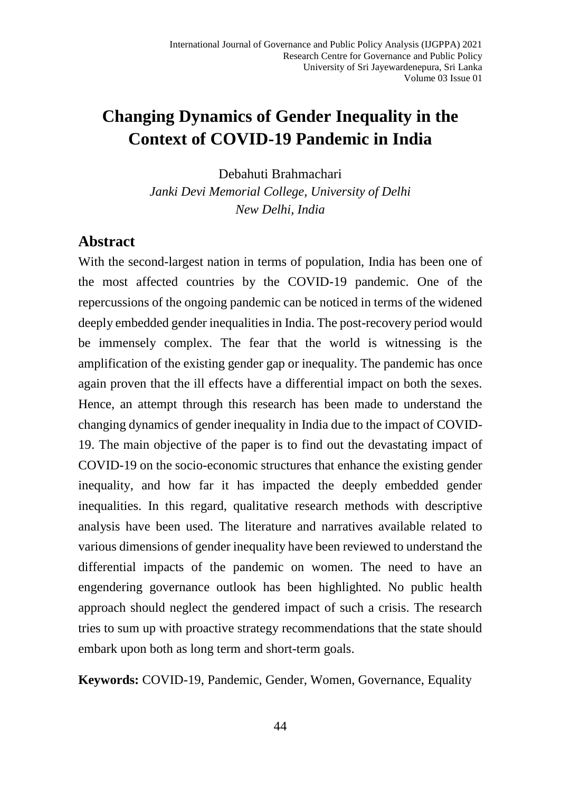# **Changing Dynamics of Gender Inequality in the Context of COVID-19 Pandemic in India**

Debahuti Brahmachari

*Janki Devi Memorial College, University of Delhi New Delhi, India*

## **Abstract**

With the second-largest nation in terms of population, India has been one of the most affected countries by the COVID-19 pandemic. One of the repercussions of the ongoing pandemic can be noticed in terms of the widened deeply embedded gender inequalities in India. The post-recovery period would be immensely complex. The fear that the world is witnessing is the amplification of the existing gender gap or inequality. The pandemic has once again proven that the ill effects have a differential impact on both the sexes. Hence, an attempt through this research has been made to understand the changing dynamics of gender inequality in India due to the impact of COVID-19. The main objective of the paper is to find out the devastating impact of COVID-19 on the socio-economic structures that enhance the existing gender inequality, and how far it has impacted the deeply embedded gender inequalities. In this regard, qualitative research methods with descriptive analysis have been used. The literature and narratives available related to various dimensions of gender inequality have been reviewed to understand the differential impacts of the pandemic on women. The need to have an engendering governance outlook has been highlighted. No public health approach should neglect the gendered impact of such a crisis. The research tries to sum up with proactive strategy recommendations that the state should embark upon both as long term and short-term goals.

**Keywords:** COVID-19, Pandemic, Gender, Women, Governance, Equality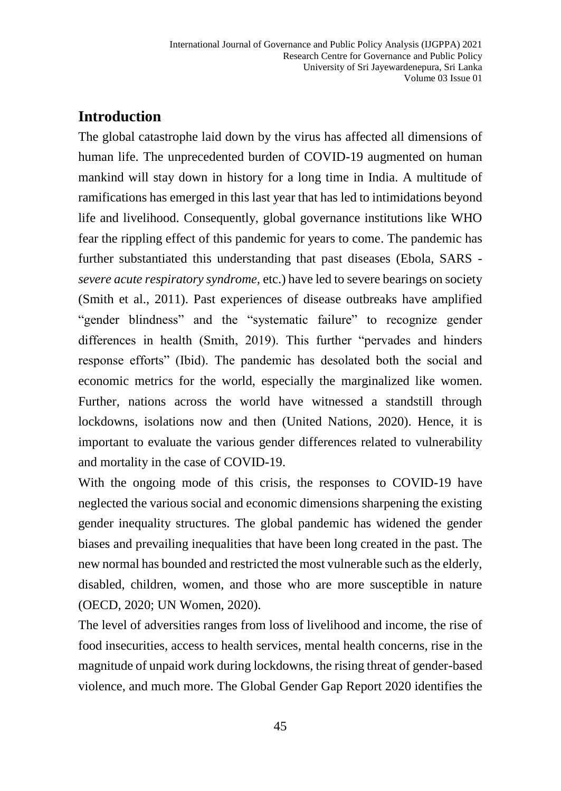## **Introduction**

The global catastrophe laid down by the virus has affected all dimensions of human life. The unprecedented burden of COVID-19 augmented on human mankind will stay down in history for a long time in India. A multitude of ramifications has emerged in this last year that has led to intimidations beyond life and livelihood. Consequently, global governance institutions like WHO fear the rippling effect of this pandemic for years to come. The pandemic has further substantiated this understanding that past diseases (Ebola, SARS *severe acute respiratory syndrome,* etc.) have led to severe bearings on society (Smith et al., 2011). Past experiences of disease outbreaks have amplified "gender blindness" and the "systematic failure" to recognize gender differences in health (Smith, 2019). This further "pervades and hinders response efforts" (Ibid). The pandemic has desolated both the social and economic metrics for the world, especially the marginalized like women. Further, nations across the world have witnessed a standstill through lockdowns, isolations now and then (United Nations, 2020). Hence, it is important to evaluate the various gender differences related to vulnerability and mortality in the case of COVID-19.

With the ongoing mode of this crisis, the responses to COVID-19 have neglected the various social and economic dimensions sharpening the existing gender inequality structures. The global pandemic has widened the gender biases and prevailing inequalities that have been long created in the past. The new normal has bounded and restricted the most vulnerable such as the elderly, disabled, children, women, and those who are more susceptible in nature (OECD, 2020; UN Women, 2020).

The level of adversities ranges from loss of livelihood and income, the rise of food insecurities, access to health services, mental health concerns, rise in the magnitude of unpaid work during lockdowns, the rising threat of gender-based violence, and much more. The Global Gender Gap Report 2020 identifies the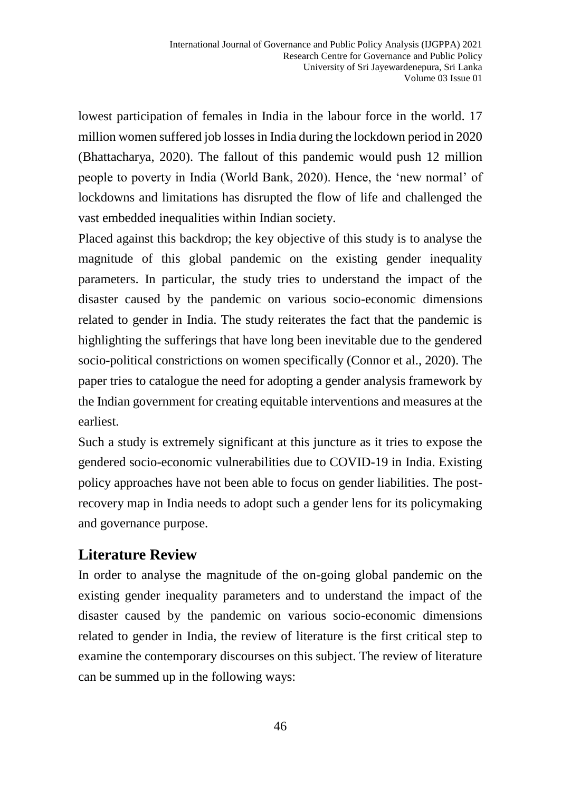lowest participation of females in India in the labour force in the world. 17 million women suffered job losses in India during the lockdown period in 2020 (Bhattacharya, 2020). The fallout of this pandemic would push 12 million people to poverty in India (World Bank, 2020). Hence, the 'new normal' of lockdowns and limitations has disrupted the flow of life and challenged the vast embedded inequalities within Indian society.

Placed against this backdrop; the key objective of this study is to analyse the magnitude of this global pandemic on the existing gender inequality parameters. In particular, the study tries to understand the impact of the disaster caused by the pandemic on various socio-economic dimensions related to gender in India. The study reiterates the fact that the pandemic is highlighting the sufferings that have long been inevitable due to the gendered socio-political constrictions on women specifically (Connor et al., 2020). The paper tries to catalogue the need for adopting a gender analysis framework by the Indian government for creating equitable interventions and measures at the earliest.

Such a study is extremely significant at this juncture as it tries to expose the gendered socio-economic vulnerabilities due to COVID-19 in India. Existing policy approaches have not been able to focus on gender liabilities. The postrecovery map in India needs to adopt such a gender lens for its policymaking and governance purpose.

## **Literature Review**

In order to analyse the magnitude of the on-going global pandemic on the existing gender inequality parameters and to understand the impact of the disaster caused by the pandemic on various socio-economic dimensions related to gender in India, the review of literature is the first critical step to examine the contemporary discourses on this subject. The review of literature can be summed up in the following ways: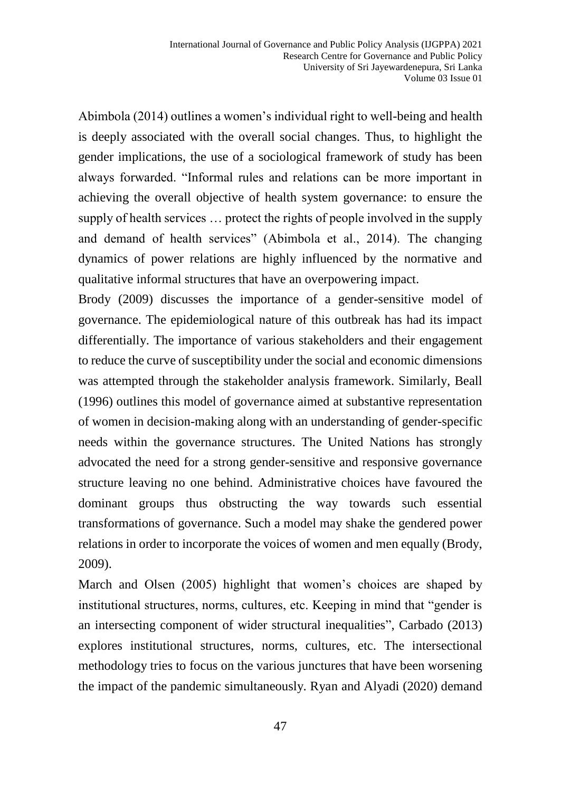Abimbola (2014) outlines a women's individual right to well-being and health is deeply associated with the overall social changes. Thus, to highlight the gender implications, the use of a sociological framework of study has been always forwarded. "Informal rules and relations can be more important in achieving the overall objective of health system governance: to ensure the supply of health services … protect the rights of people involved in the supply and demand of health services" (Abimbola et al., 2014). The changing dynamics of power relations are highly influenced by the normative and qualitative informal structures that have an overpowering impact.

Brody (2009) discusses the importance of a gender-sensitive model of governance. The epidemiological nature of this outbreak has had its impact differentially. The importance of various stakeholders and their engagement to reduce the curve of susceptibility under the social and economic dimensions was attempted through the stakeholder analysis framework. Similarly, Beall (1996) outlines this model of governance aimed at substantive representation of women in decision-making along with an understanding of gender-specific needs within the governance structures. The United Nations has strongly advocated the need for a strong gender-sensitive and responsive governance structure leaving no one behind. Administrative choices have favoured the dominant groups thus obstructing the way towards such essential transformations of governance. Such a model may shake the gendered power relations in order to incorporate the voices of women and men equally (Brody, 2009).

March and Olsen (2005) highlight that women's choices are shaped by institutional structures, norms, cultures, etc. Keeping in mind that "gender is an intersecting component of wider structural inequalities", Carbado (2013) explores institutional structures, norms, cultures, etc. The intersectional methodology tries to focus on the various junctures that have been worsening the impact of the pandemic simultaneously. Ryan and Alyadi (2020) demand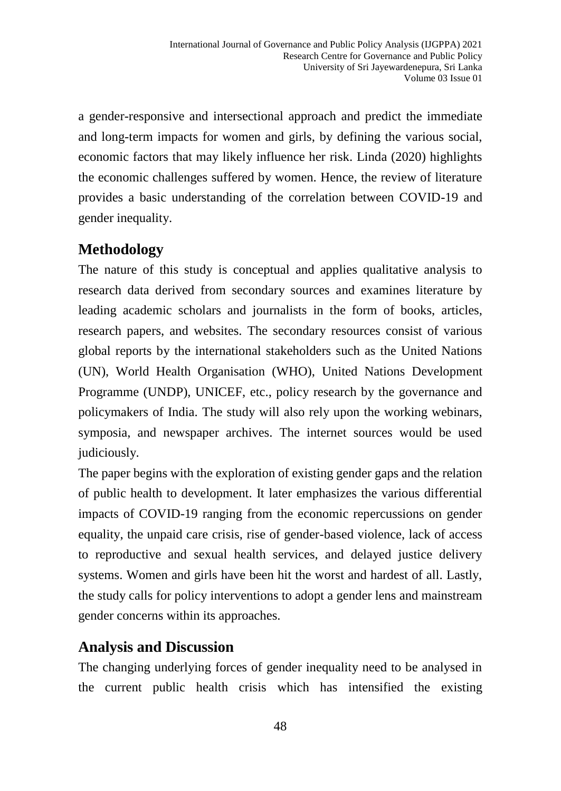a gender-responsive and intersectional approach and predict the immediate and long-term impacts for women and girls, by defining the various social, economic factors that may likely influence her risk. Linda (2020) highlights the economic challenges suffered by women. Hence, the review of literature provides a basic understanding of the correlation between COVID-19 and gender inequality.

## **Methodology**

The nature of this study is conceptual and applies qualitative analysis to research data derived from secondary sources and examines literature by leading academic scholars and journalists in the form of books, articles, research papers, and websites. The secondary resources consist of various global reports by the international stakeholders such as the United Nations (UN), World Health Organisation (WHO), United Nations Development Programme (UNDP), UNICEF, etc., policy research by the governance and policymakers of India. The study will also rely upon the working webinars, symposia, and newspaper archives. The internet sources would be used judiciously.

The paper begins with the exploration of existing gender gaps and the relation of public health to development. It later emphasizes the various differential impacts of COVID-19 ranging from the economic repercussions on gender equality, the unpaid care crisis, rise of gender-based violence, lack of access to reproductive and sexual health services, and delayed justice delivery systems. Women and girls have been hit the worst and hardest of all. Lastly, the study calls for policy interventions to adopt a gender lens and mainstream gender concerns within its approaches.

## **Analysis and Discussion**

The changing underlying forces of gender inequality need to be analysed in the current public health crisis which has intensified the existing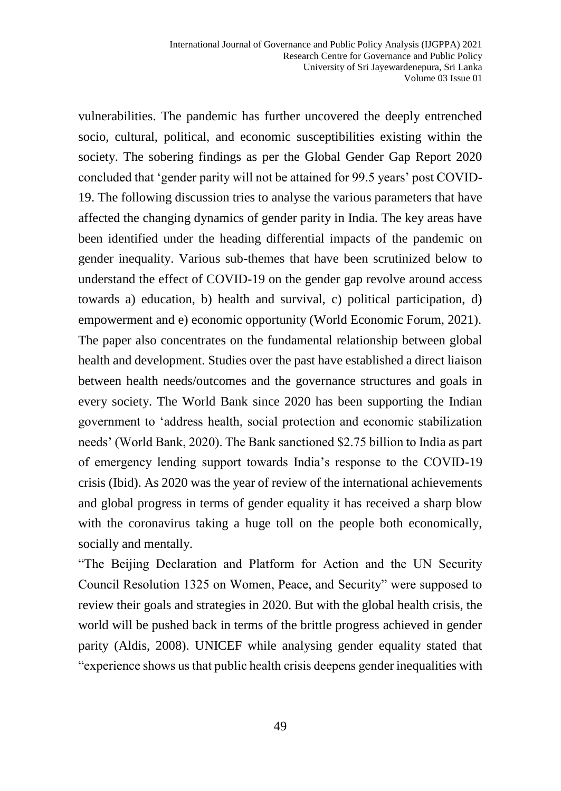vulnerabilities. The pandemic has further uncovered the deeply entrenched socio, cultural, political, and economic susceptibilities existing within the society. The sobering findings as per the Global Gender Gap Report 2020 concluded that 'gender parity will not be attained for 99.5 years' post COVID-19. The following discussion tries to analyse the various parameters that have affected the changing dynamics of gender parity in India. The key areas have been identified under the heading differential impacts of the pandemic on gender inequality. Various sub-themes that have been scrutinized below to understand the effect of COVID-19 on the gender gap revolve around access towards a) education, b) health and survival, c) political participation, d) empowerment and e) economic opportunity (World Economic Forum, 2021). The paper also concentrates on the fundamental relationship between global health and development. Studies over the past have established a direct liaison between health needs/outcomes and the governance structures and goals in every society. The World Bank since 2020 has been supporting the Indian government to 'address health, social protection and economic stabilization needs' (World Bank, 2020). The Bank sanctioned \$2.75 billion to India as part of emergency lending support towards India's response to the COVID-19 crisis (Ibid). As 2020 was the year of review of the international achievements and global progress in terms of gender equality it has received a sharp blow with the coronavirus taking a huge toll on the people both economically, socially and mentally.

"The Beijing Declaration and Platform for Action and the UN Security Council Resolution 1325 on Women, Peace, and Security" were supposed to review their goals and strategies in 2020. But with the global health crisis, the world will be pushed back in terms of the brittle progress achieved in gender parity (Aldis, 2008). UNICEF while analysing gender equality stated that "experience shows us that public health crisis deepens gender inequalities with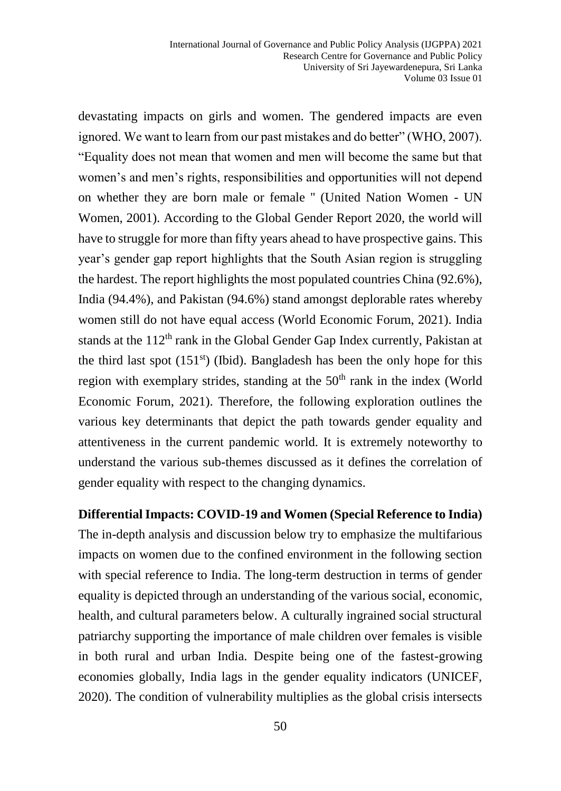devastating impacts on girls and women. The gendered impacts are even ignored. We want to learn from our past mistakes and do better" (WHO, 2007). "Equality does not mean that women and men will become the same but that women's and men's rights, responsibilities and opportunities will not depend on whether they are born male or female '' (United Nation Women - UN Women, 2001). According to the Global Gender Report 2020, the world will have to struggle for more than fifty years ahead to have prospective gains. This year's gender gap report highlights that the South Asian region is struggling the hardest. The report highlights the most populated countries China (92.6%), India (94.4%), and Pakistan (94.6%) stand amongst deplorable rates whereby women still do not have equal access (World Economic Forum, 2021). India stands at the  $112<sup>th</sup>$  rank in the Global Gender Gap Index currently, Pakistan at the third last spot  $(151<sup>st</sup>)$  (Ibid). Bangladesh has been the only hope for this region with exemplary strides, standing at the  $50<sup>th</sup>$  rank in the index (World Economic Forum, 2021). Therefore, the following exploration outlines the various key determinants that depict the path towards gender equality and attentiveness in the current pandemic world. It is extremely noteworthy to understand the various sub-themes discussed as it defines the correlation of gender equality with respect to the changing dynamics.

**Differential Impacts: COVID-19 and Women (Special Reference to India)** The in-depth analysis and discussion below try to emphasize the multifarious impacts on women due to the confined environment in the following section with special reference to India. The long-term destruction in terms of gender equality is depicted through an understanding of the various social, economic, health, and cultural parameters below. A culturally ingrained social structural patriarchy supporting the importance of male children over females is visible in both rural and urban India. Despite being one of the fastest-growing economies globally, India lags in the gender equality indicators (UNICEF, 2020). The condition of vulnerability multiplies as the global crisis intersects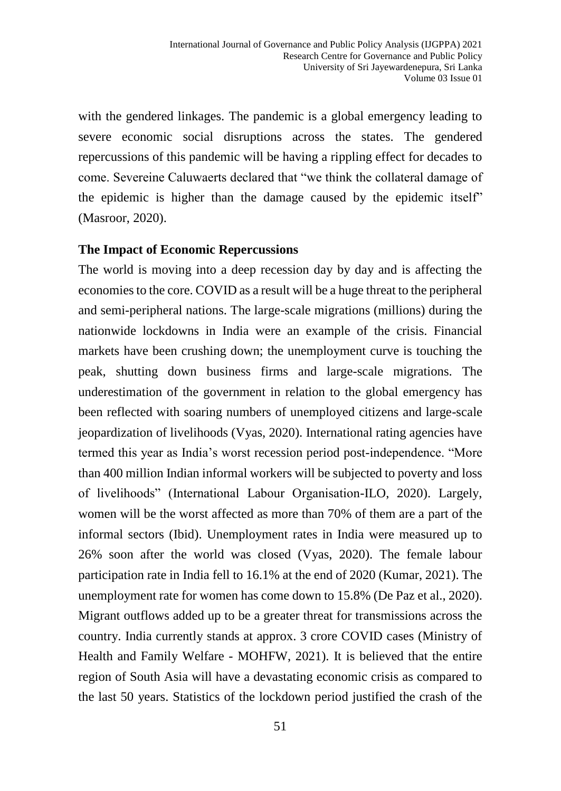with the gendered linkages. The pandemic is a global emergency leading to severe economic social disruptions across the states. The gendered repercussions of this pandemic will be having a rippling effect for decades to come. Severeine Caluwaerts declared that "we think the collateral damage of the epidemic is higher than the damage caused by the epidemic itself" (Masroor, 2020).

#### **The Impact of Economic Repercussions**

The world is moving into a deep recession day by day and is affecting the economies to the core. COVID as a result will be a huge threat to the peripheral and semi-peripheral nations. The large-scale migrations (millions) during the nationwide lockdowns in India were an example of the crisis. Financial markets have been crushing down; the unemployment curve is touching the peak, shutting down business firms and large-scale migrations. The underestimation of the government in relation to the global emergency has been reflected with soaring numbers of unemployed citizens and large-scale jeopardization of livelihoods (Vyas, 2020). International rating agencies have termed this year as India's worst recession period post-independence. "More than 400 million Indian informal workers will be subjected to poverty and loss of livelihoods" (International Labour Organisation-ILO, 2020). Largely, women will be the worst affected as more than 70% of them are a part of the informal sectors (Ibid). Unemployment rates in India were measured up to 26% soon after the world was closed (Vyas, 2020). The female labour participation rate in India fell to 16.1% at the end of 2020 (Kumar, 2021). The unemployment rate for women has come down to 15.8% (De Paz et al., 2020). Migrant outflows added up to be a greater threat for transmissions across the country. India currently stands at approx. 3 crore COVID cases (Ministry of Health and Family Welfare - MOHFW, 2021). It is believed that the entire region of South Asia will have a devastating economic crisis as compared to the last 50 years. Statistics of the lockdown period justified the crash of the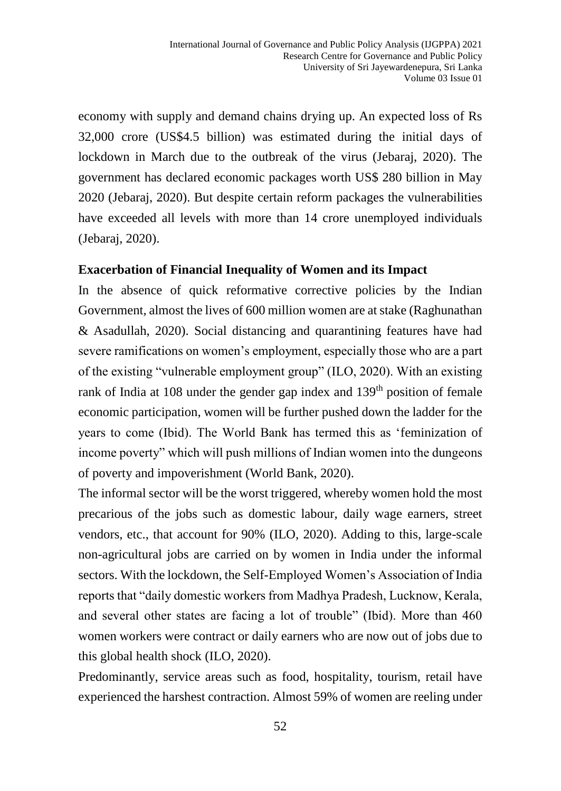economy with supply and demand chains drying up. An expected loss of Rs 32,000 crore (US\$4.5 billion) was estimated during the initial days of lockdown in March due to the outbreak of the virus (Jebaraj, 2020). The government has declared economic packages worth US\$ 280 billion in May 2020 (Jebaraj, 2020). But despite certain reform packages the vulnerabilities have exceeded all levels with more than 14 crore unemployed individuals (Jebaraj, 2020).

#### **Exacerbation of Financial Inequality of Women and its Impact**

In the absence of quick reformative corrective policies by the Indian Government, almost the lives of 600 million women are at stake (Raghunathan & Asadullah, 2020). Social distancing and quarantining features have had severe ramifications on women's employment, especially those who are a part of the existing "vulnerable employment group" (ILO, 2020). With an existing rank of India at 108 under the gender gap index and 139<sup>th</sup> position of female economic participation, women will be further pushed down the ladder for the years to come (Ibid). The World Bank has termed this as 'feminization of income poverty" which will push millions of Indian women into the dungeons of poverty and impoverishment (World Bank, 2020).

The informal sector will be the worst triggered, whereby women hold the most precarious of the jobs such as domestic labour, daily wage earners, street vendors, etc., that account for 90% (ILO, 2020). Adding to this, large-scale non-agricultural jobs are carried on by women in India under the informal sectors. With the lockdown, the Self-Employed Women's Association of India reports that "daily domestic workers from Madhya Pradesh, Lucknow, Kerala, and several other states are facing a lot of trouble" (Ibid). More than 460 women workers were contract or daily earners who are now out of jobs due to this global health shock (ILO, 2020).

Predominantly, service areas such as food, hospitality, tourism, retail have experienced the harshest contraction. Almost 59% of women are reeling under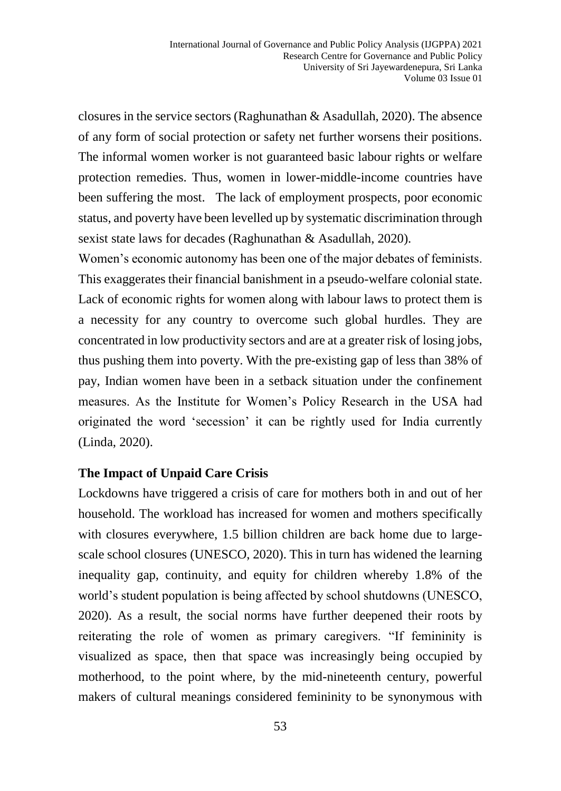closures in the service sectors (Raghunathan & Asadullah, 2020). The absence of any form of social protection or safety net further worsens their positions. The informal women worker is not guaranteed basic labour rights or welfare protection remedies. Thus, women in lower-middle-income countries have been suffering the most. The lack of employment prospects, poor economic status, and poverty have been levelled up by systematic discrimination through sexist state laws for decades (Raghunathan & Asadullah, 2020).

Women's economic autonomy has been one of the major debates of feminists. This exaggerates their financial banishment in a pseudo-welfare colonial state. Lack of economic rights for women along with labour laws to protect them is a necessity for any country to overcome such global hurdles. They are concentrated in low productivity sectors and are at a greater risk of losing jobs, thus pushing them into poverty. With the pre-existing gap of less than 38% of pay, Indian women have been in a setback situation under the confinement measures. As the Institute for Women's Policy Research in the USA had originated the word 'secession' it can be rightly used for India currently (Linda, 2020).

### **The Impact of Unpaid Care Crisis**

Lockdowns have triggered a crisis of care for mothers both in and out of her household. The workload has increased for women and mothers specifically with closures everywhere, 1.5 billion children are back home due to largescale school closures (UNESCO, 2020). This in turn has widened the learning inequality gap, continuity, and equity for children whereby 1.8% of the world's student population is being affected by school shutdowns (UNESCO, 2020). As a result, the social norms have further deepened their roots by reiterating the role of women as primary caregivers. "If femininity is visualized as space, then that space was increasingly being occupied by motherhood, to the point where, by the mid-nineteenth century, powerful makers of cultural meanings considered femininity to be synonymous with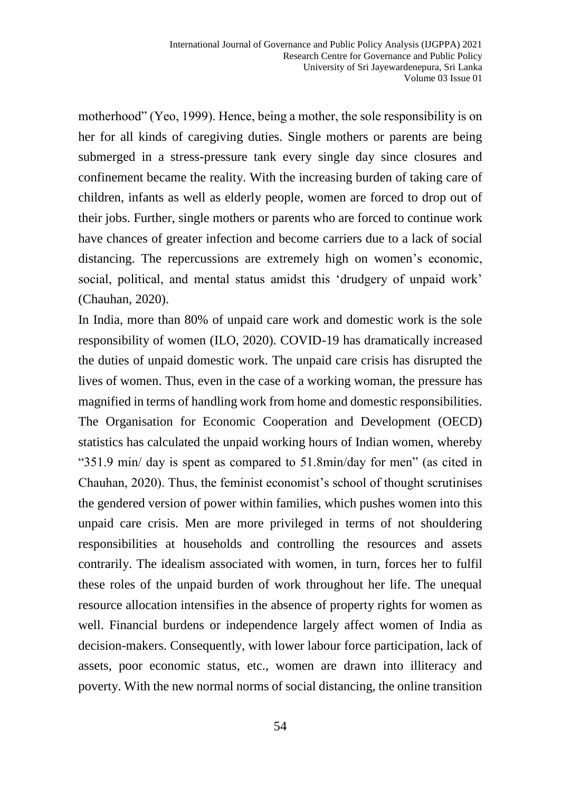motherhood" (Yeo, 1999). Hence, being a mother, the sole responsibility is on her for all kinds of caregiving duties. Single mothers or parents are being submerged in a stress-pressure tank every single day since closures and confinement became the reality. With the increasing burden of taking care of children, infants as well as elderly people, women are forced to drop out of their jobs. Further, single mothers or parents who are forced to continue work have chances of greater infection and become carriers due to a lack of social distancing. The repercussions are extremely high on women's economic, social, political, and mental status amidst this 'drudgery of unpaid work' (Chauhan, 2020).

In India, more than 80% of unpaid care work and domestic work is the sole responsibility of women (ILO, 2020). COVID-19 has dramatically increased the duties of unpaid domestic work. The unpaid care crisis has disrupted the lives of women. Thus, even in the case of a working woman, the pressure has magnified in terms of handling work from home and domestic responsibilities. The Organisation for Economic Cooperation and Development (OECD) statistics has calculated the unpaid working hours of Indian women, whereby "351.9 min/ day is spent as compared to 51.8min/day for men" (as cited in Chauhan, 2020). Thus, the feminist economist's school of thought scrutinises the gendered version of power within families, which pushes women into this unpaid care crisis. Men are more privileged in terms of not shouldering responsibilities at households and controlling the resources and assets contrarily. The idealism associated with women, in turn, forces her to fulfil these roles of the unpaid burden of work throughout her life. The unequal resource allocation intensifies in the absence of property rights for women as well. Financial burdens or independence largely affect women of India as decision-makers. Consequently, with lower labour force participation, lack of assets, poor economic status, etc., women are drawn into illiteracy and poverty. With the new normal norms of social distancing, the online transition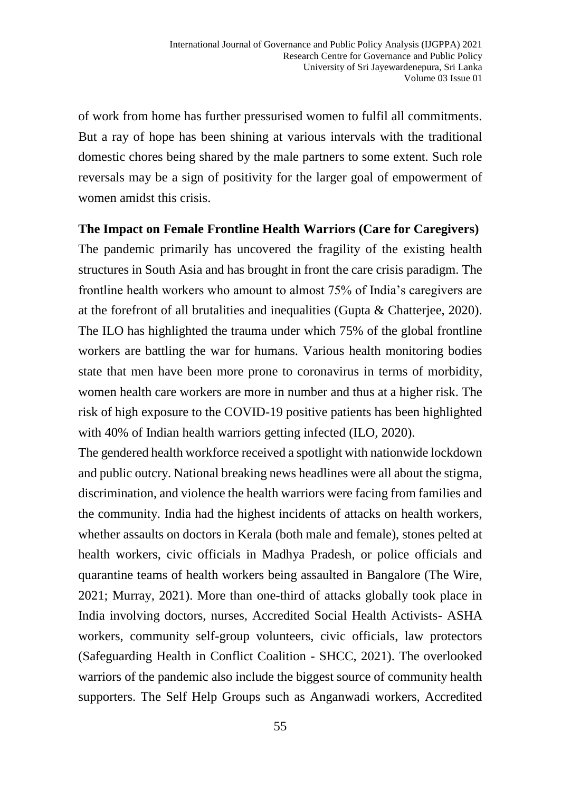of work from home has further pressurised women to fulfil all commitments. But a ray of hope has been shining at various intervals with the traditional domestic chores being shared by the male partners to some extent. Such role reversals may be a sign of positivity for the larger goal of empowerment of women amidst this crisis.

#### **The Impact on Female Frontline Health Warriors (Care for Caregivers)**

The pandemic primarily has uncovered the fragility of the existing health structures in South Asia and has brought in front the care crisis paradigm. The frontline health workers who amount to almost 75% of India's caregivers are at the forefront of all brutalities and inequalities (Gupta & Chatterjee, 2020). The ILO has highlighted the trauma under which 75% of the global frontline workers are battling the war for humans. Various health monitoring bodies state that men have been more prone to coronavirus in terms of morbidity, women health care workers are more in number and thus at a higher risk. The risk of high exposure to the COVID-19 positive patients has been highlighted with 40% of Indian health warriors getting infected (ILO, 2020).

The gendered health workforce received a spotlight with nationwide lockdown and public outcry. National breaking news headlines were all about the stigma, discrimination, and violence the health warriors were facing from families and the community. India had the highest incidents of attacks on health workers, whether assaults on doctors in Kerala (both male and female), stones pelted at health workers, civic officials in Madhya Pradesh, or police officials and quarantine teams of health workers being assaulted in Bangalore (The Wire, 2021; Murray, 2021). More than one-third of attacks globally took place in India involving doctors, nurses, Accredited Social Health Activists- ASHA workers, community self-group volunteers, civic officials, law protectors (Safeguarding Health in Conflict Coalition - SHCC, 2021). The overlooked warriors of the pandemic also include the biggest source of community health supporters. The Self Help Groups such as Anganwadi workers, Accredited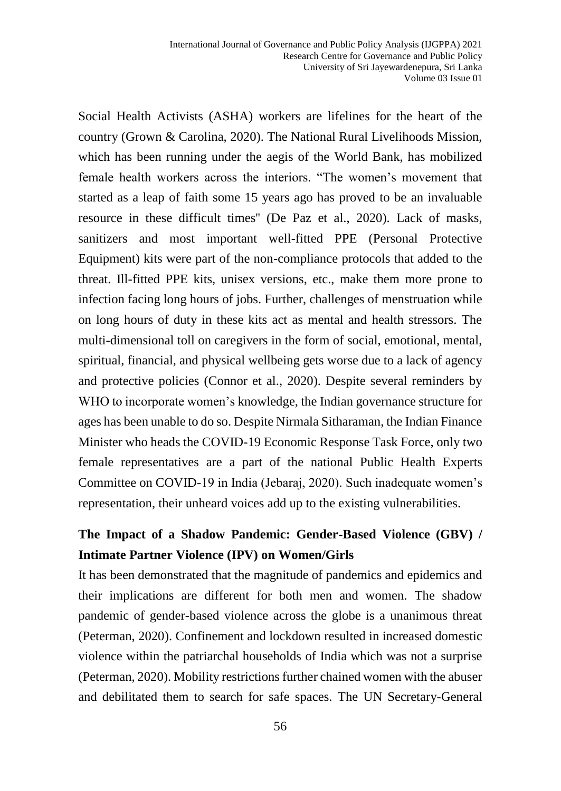Social Health Activists (ASHA) workers are lifelines for the heart of the country (Grown & Carolina, 2020). The National Rural Livelihoods Mission, which has been running under the aegis of the World Bank, has mobilized female health workers across the interiors. "The women's movement that started as a leap of faith some 15 years ago has proved to be an invaluable resource in these difficult times'' (De Paz et al., 2020). Lack of masks, sanitizers and most important well-fitted PPE (Personal Protective Equipment) kits were part of the non-compliance protocols that added to the threat. Ill-fitted PPE kits, unisex versions, etc., make them more prone to infection facing long hours of jobs. Further, challenges of menstruation while on long hours of duty in these kits act as mental and health stressors. The multi-dimensional toll on caregivers in the form of social, emotional, mental, spiritual, financial, and physical wellbeing gets worse due to a lack of agency and protective policies (Connor et al., 2020). Despite several reminders by WHO to incorporate women's knowledge, the Indian governance structure for ages has been unable to do so. Despite Nirmala Sitharaman, the Indian Finance Minister who heads the COVID-19 Economic Response Task Force, only two female representatives are a part of the national Public Health Experts Committee on COVID-19 in India (Jebaraj, 2020). Such inadequate women's representation, their unheard voices add up to the existing vulnerabilities.

## **The Impact of a Shadow Pandemic: Gender-Based Violence (GBV) / Intimate Partner Violence (IPV) on Women/Girls**

It has been demonstrated that the magnitude of pandemics and epidemics and their implications are different for both men and women. The shadow pandemic of gender-based violence across the globe is a unanimous threat (Peterman, 2020). Confinement and lockdown resulted in increased domestic violence within the patriarchal households of India which was not a surprise (Peterman, 2020). Mobility restrictions further chained women with the abuser and debilitated them to search for safe spaces. The UN Secretary-General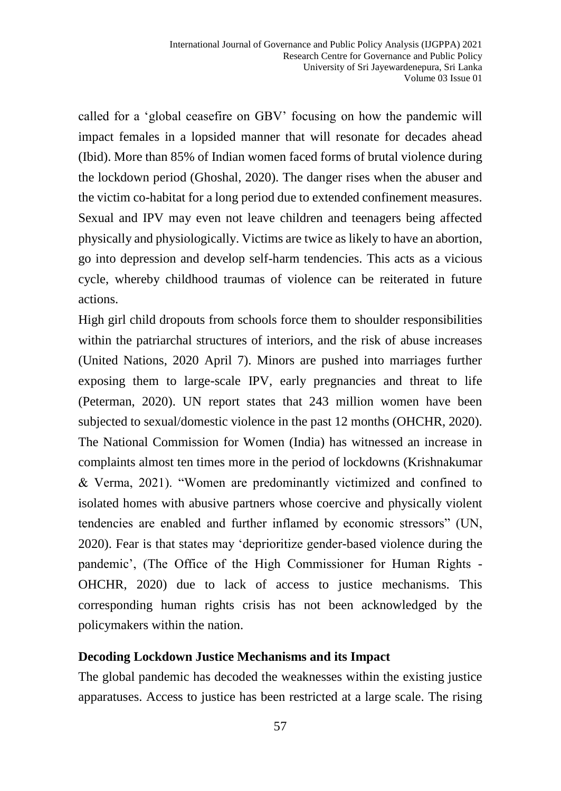called for a 'global ceasefire on GBV' focusing on how the pandemic will impact females in a lopsided manner that will resonate for decades ahead (Ibid). More than 85% of Indian women faced forms of brutal violence during the lockdown period (Ghoshal, 2020). The danger rises when the abuser and the victim co-habitat for a long period due to extended confinement measures. Sexual and IPV may even not leave children and teenagers being affected physically and physiologically. Victims are twice as likely to have an abortion, go into depression and develop self-harm tendencies. This acts as a vicious cycle, whereby childhood traumas of violence can be reiterated in future actions.

High girl child dropouts from schools force them to shoulder responsibilities within the patriarchal structures of interiors, and the risk of abuse increases (United Nations, 2020 April 7). Minors are pushed into marriages further exposing them to large-scale IPV, early pregnancies and threat to life (Peterman, 2020). UN report states that 243 million women have been subjected to sexual/domestic violence in the past 12 months (OHCHR, 2020). The National Commission for Women (India) has witnessed an increase in complaints almost ten times more in the period of lockdowns (Krishnakumar & Verma, 2021). "Women are predominantly victimized and confined to isolated homes with abusive partners whose coercive and physically violent tendencies are enabled and further inflamed by economic stressors" (UN, 2020). Fear is that states may 'deprioritize gender-based violence during the pandemic', (The Office of the High Commissioner for Human Rights - OHCHR, 2020) due to lack of access to justice mechanisms. This corresponding human rights crisis has not been acknowledged by the policymakers within the nation.

#### **Decoding Lockdown Justice Mechanisms and its Impact**

The global pandemic has decoded the weaknesses within the existing justice apparatuses. Access to justice has been restricted at a large scale. The rising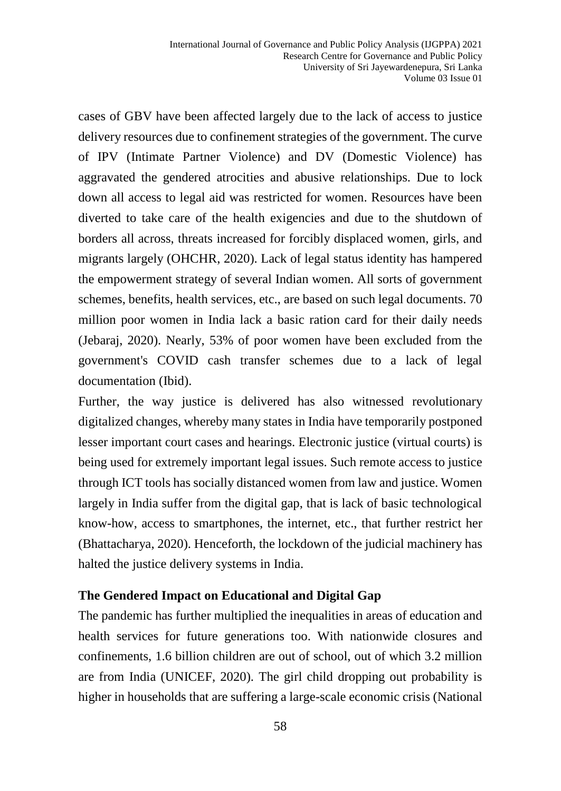cases of GBV have been affected largely due to the lack of access to justice delivery resources due to confinement strategies of the government. The curve of IPV (Intimate Partner Violence) and DV (Domestic Violence) has aggravated the gendered atrocities and abusive relationships. Due to lock down all access to legal aid was restricted for women. Resources have been diverted to take care of the health exigencies and due to the shutdown of borders all across, threats increased for forcibly displaced women, girls, and migrants largely (OHCHR, 2020). Lack of legal status identity has hampered the empowerment strategy of several Indian women. All sorts of government schemes, benefits, health services, etc., are based on such legal documents. 70 million poor women in India lack a basic ration card for their daily needs (Jebaraj, 2020). Nearly, 53% of poor women have been excluded from the government's COVID cash transfer schemes due to a lack of legal documentation (Ibid).

Further, the way justice is delivered has also witnessed revolutionary digitalized changes, whereby many states in India have temporarily postponed lesser important court cases and hearings. Electronic justice (virtual courts) is being used for extremely important legal issues. Such remote access to justice through ICT tools has socially distanced women from law and justice. Women largely in India suffer from the digital gap, that is lack of basic technological know-how, access to smartphones, the internet, etc., that further restrict her (Bhattacharya, 2020). Henceforth, the lockdown of the judicial machinery has halted the justice delivery systems in India.

#### **The Gendered Impact on Educational and Digital Gap**

The pandemic has further multiplied the inequalities in areas of education and health services for future generations too. With nationwide closures and confinements, 1.6 billion children are out of school, out of which 3.2 million are from India (UNICEF, 2020). The girl child dropping out probability is higher in households that are suffering a large-scale economic crisis (National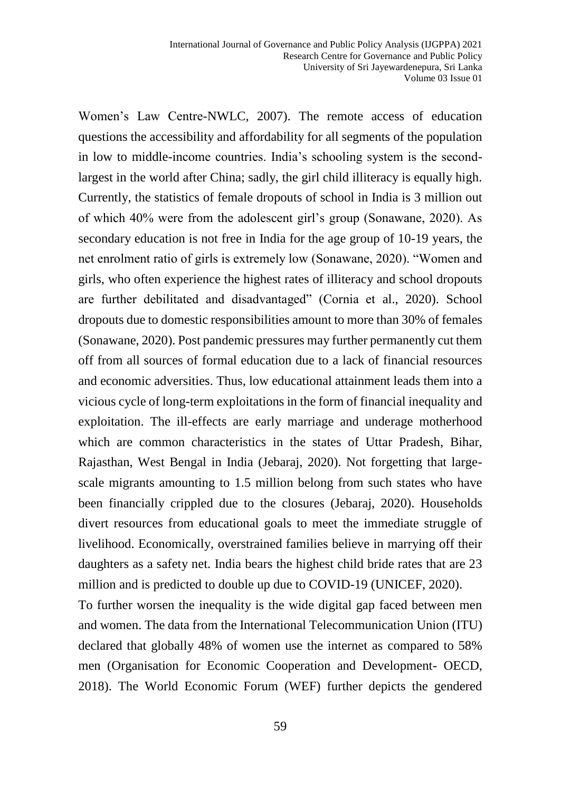Women's Law Centre-NWLC, 2007). The remote access of education questions the accessibility and affordability for all segments of the population in low to middle-income countries. India's schooling system is the secondlargest in the world after China; sadly, the girl child illiteracy is equally high. Currently, the statistics of female dropouts of school in India is 3 million out of which 40% were from the adolescent girl's group (Sonawane, 2020). As secondary education is not free in India for the age group of 10-19 years, the net enrolment ratio of girls is extremely low (Sonawane, 2020). "Women and girls, who often experience the highest rates of illiteracy and school dropouts are further debilitated and disadvantaged" (Cornia et al., 2020). School dropouts due to domestic responsibilities amount to more than 30% of females (Sonawane, 2020). Post pandemic pressures may further permanently cut them off from all sources of formal education due to a lack of financial resources and economic adversities. Thus, low educational attainment leads them into a vicious cycle of long-term exploitations in the form of financial inequality and exploitation. The ill-effects are early marriage and underage motherhood which are common characteristics in the states of Uttar Pradesh, Bihar, Rajasthan, West Bengal in India (Jebaraj, 2020). Not forgetting that largescale migrants amounting to 1.5 million belong from such states who have been financially crippled due to the closures (Jebaraj, 2020). Households divert resources from educational goals to meet the immediate struggle of livelihood. Economically, overstrained families believe in marrying off their daughters as a safety net. India bears the highest child bride rates that are 23 million and is predicted to double up due to COVID-19 (UNICEF, 2020).

To further worsen the inequality is the wide digital gap faced between men and women. The data from the International Telecommunication Union (ITU) declared that globally 48% of women use the internet as compared to 58% men (Organisation for Economic Cooperation and Development- OECD, 2018). The World Economic Forum (WEF) further depicts the gendered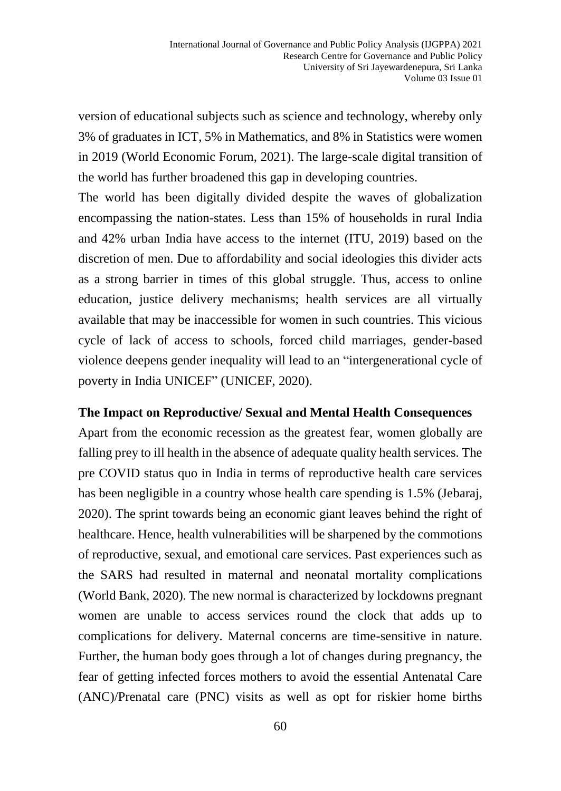version of educational subjects such as science and technology, whereby only 3% of graduates in ICT, 5% in Mathematics, and 8% in Statistics were women in 2019 (World Economic Forum, 2021). The large-scale digital transition of the world has further broadened this gap in developing countries.

The world has been digitally divided despite the waves of globalization encompassing the nation-states. Less than 15% of households in rural India and 42% urban India have access to the internet (ITU, 2019) based on the discretion of men. Due to affordability and social ideologies this divider acts as a strong barrier in times of this global struggle. Thus, access to online education, justice delivery mechanisms; health services are all virtually available that may be inaccessible for women in such countries. This vicious cycle of lack of access to schools, forced child marriages, gender-based violence deepens gender inequality will lead to an "intergenerational cycle of poverty in India UNICEF" (UNICEF, 2020).

#### **The Impact on Reproductive/ Sexual and Mental Health Consequences**

Apart from the economic recession as the greatest fear, women globally are falling prey to ill health in the absence of adequate quality health services. The pre COVID status quo in India in terms of reproductive health care services has been negligible in a country whose health care spending is 1.5% (Jebaraj, 2020). The sprint towards being an economic giant leaves behind the right of healthcare. Hence, health vulnerabilities will be sharpened by the commotions of reproductive, sexual, and emotional care services. Past experiences such as the SARS had resulted in maternal and neonatal mortality complications (World Bank, 2020). The new normal is characterized by lockdowns pregnant women are unable to access services round the clock that adds up to complications for delivery. Maternal concerns are time-sensitive in nature. Further, the human body goes through a lot of changes during pregnancy, the fear of getting infected forces mothers to avoid the essential Antenatal Care (ANC)/Prenatal care (PNC) visits as well as opt for riskier home births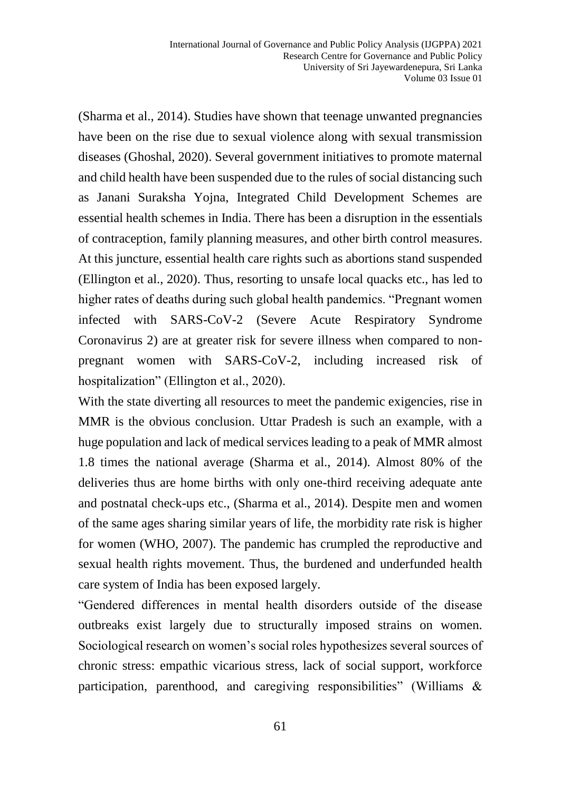(Sharma et al., 2014). Studies have shown that teenage unwanted pregnancies have been on the rise due to sexual violence along with sexual transmission diseases (Ghoshal, 2020). Several government initiatives to promote maternal and child health have been suspended due to the rules of social distancing such as Janani Suraksha Yojna, Integrated Child Development Schemes are essential health schemes in India. There has been a disruption in the essentials of contraception, family planning measures, and other birth control measures. At this juncture, essential health care rights such as abortions stand suspended (Ellington et al., 2020). Thus, resorting to unsafe local quacks etc., has led to higher rates of deaths during such global health pandemics. "Pregnant women infected with SARS-CoV-2 (Severe Acute Respiratory Syndrome Coronavirus 2) are at greater risk for severe illness when compared to nonpregnant women with SARS-CoV-2, including increased risk of hospitalization" (Ellington et al., 2020).

With the state diverting all resources to meet the pandemic exigencies, rise in MMR is the obvious conclusion. Uttar Pradesh is such an example, with a huge population and lack of medical services leading to a peak of MMR almost 1.8 times the national average (Sharma et al., 2014). Almost 80% of the deliveries thus are home births with only one-third receiving adequate ante and postnatal check-ups etc., (Sharma et al., 2014). Despite men and women of the same ages sharing similar years of life, the morbidity rate risk is higher for women (WHO, 2007). The pandemic has crumpled the reproductive and sexual health rights movement. Thus, the burdened and underfunded health care system of India has been exposed largely.

"Gendered differences in mental health disorders outside of the disease outbreaks exist largely due to structurally imposed strains on women. Sociological research on women's social roles hypothesizes several sources of chronic stress: empathic vicarious stress, lack of social support, workforce participation, parenthood, and caregiving responsibilities" (Williams &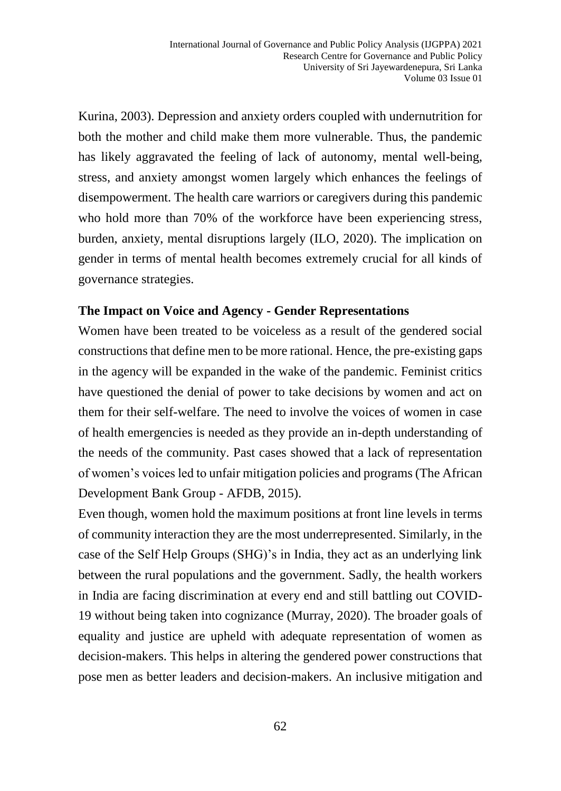Kurina, 2003). Depression and anxiety orders coupled with undernutrition for both the mother and child make them more vulnerable. Thus, the pandemic has likely aggravated the feeling of lack of autonomy, mental well-being, stress, and anxiety amongst women largely which enhances the feelings of disempowerment. The health care warriors or caregivers during this pandemic who hold more than 70% of the workforce have been experiencing stress, burden, anxiety, mental disruptions largely (ILO, 2020). The implication on gender in terms of mental health becomes extremely crucial for all kinds of governance strategies.

#### **The Impact on Voice and Agency - Gender Representations**

Women have been treated to be voiceless as a result of the gendered social constructions that define men to be more rational. Hence, the pre-existing gaps in the agency will be expanded in the wake of the pandemic. Feminist critics have questioned the denial of power to take decisions by women and act on them for their self-welfare. The need to involve the voices of women in case of health emergencies is needed as they provide an in-depth understanding of the needs of the community. Past cases showed that a lack of representation of women's voices led to unfair mitigation policies and programs (The African Development Bank Group - AFDB, 2015).

Even though, women hold the maximum positions at front line levels in terms of community interaction they are the most underrepresented. Similarly, in the case of the Self Help Groups (SHG)'s in India, they act as an underlying link between the rural populations and the government. Sadly, the health workers in India are facing discrimination at every end and still battling out COVID-19 without being taken into cognizance (Murray, 2020). The broader goals of equality and justice are upheld with adequate representation of women as decision-makers. This helps in altering the gendered power constructions that pose men as better leaders and decision-makers. An inclusive mitigation and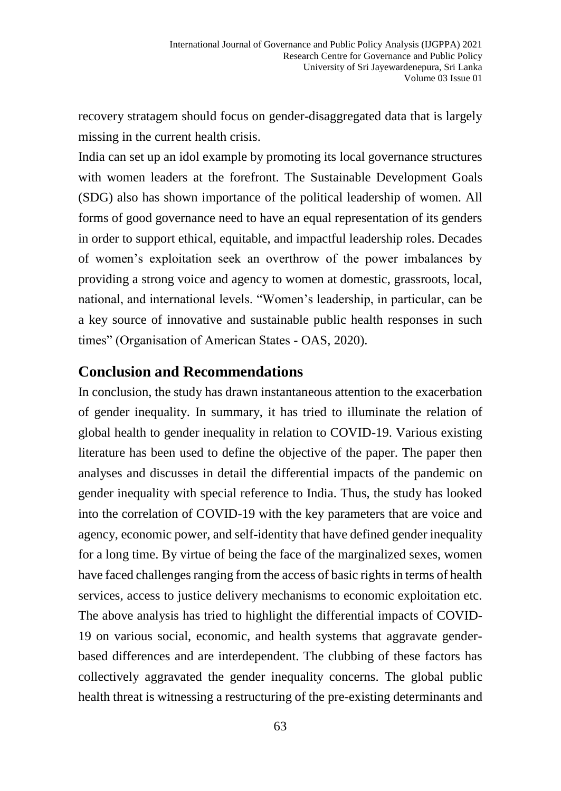recovery stratagem should focus on gender-disaggregated data that is largely missing in the current health crisis.

India can set up an idol example by promoting its local governance structures with women leaders at the forefront. The Sustainable Development Goals (SDG) also has shown importance of the political leadership of women. All forms of good governance need to have an equal representation of its genders in order to support ethical, equitable, and impactful leadership roles. Decades of women's exploitation seek an overthrow of the power imbalances by providing a strong voice and agency to women at domestic, grassroots, local, national, and international levels. "Women's leadership, in particular, can be a key source of innovative and sustainable public health responses in such times" (Organisation of American States - OAS, 2020).

## **Conclusion and Recommendations**

In conclusion, the study has drawn instantaneous attention to the exacerbation of gender inequality. In summary, it has tried to illuminate the relation of global health to gender inequality in relation to COVID-19. Various existing literature has been used to define the objective of the paper. The paper then analyses and discusses in detail the differential impacts of the pandemic on gender inequality with special reference to India. Thus, the study has looked into the correlation of COVID-19 with the key parameters that are voice and agency, economic power, and self-identity that have defined gender inequality for a long time. By virtue of being the face of the marginalized sexes, women have faced challenges ranging from the access of basic rights in terms of health services, access to justice delivery mechanisms to economic exploitation etc. The above analysis has tried to highlight the differential impacts of COVID-19 on various social, economic, and health systems that aggravate genderbased differences and are interdependent. The clubbing of these factors has collectively aggravated the gender inequality concerns. The global public health threat is witnessing a restructuring of the pre-existing determinants and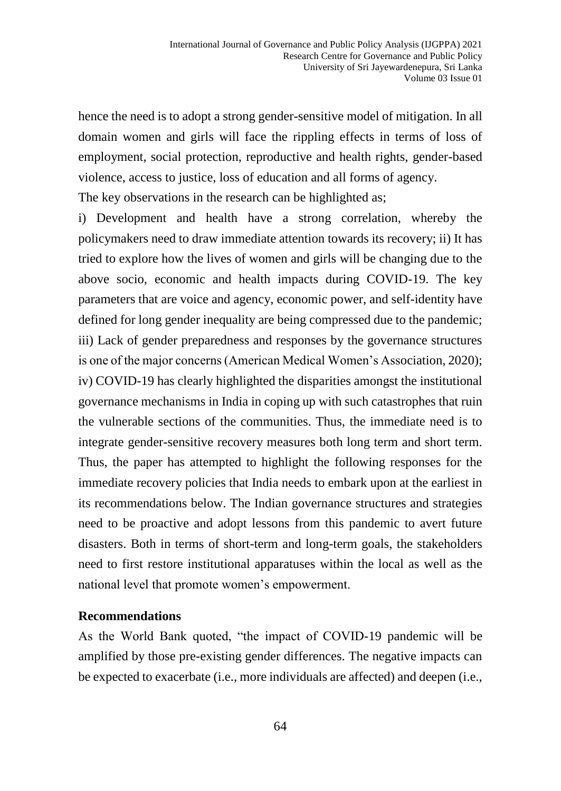hence the need is to adopt a strong gender-sensitive model of mitigation. In all domain women and girls will face the rippling effects in terms of loss of employment, social protection, reproductive and health rights, gender-based violence, access to justice, loss of education and all forms of agency.

The key observations in the research can be highlighted as;

i) Development and health have a strong correlation, whereby the policymakers need to draw immediate attention towards its recovery; ii) It has tried to explore how the lives of women and girls will be changing due to the above socio, economic and health impacts during COVID-19. The key parameters that are voice and agency, economic power, and self-identity have defined for long gender inequality are being compressed due to the pandemic; iii) Lack of gender preparedness and responses by the governance structures is one of the major concerns (American Medical Women's Association, 2020); iv) COVID-19 has clearly highlighted the disparities amongst the institutional governance mechanisms in India in coping up with such catastrophes that ruin the vulnerable sections of the communities. Thus, the immediate need is to integrate gender-sensitive recovery measures both long term and short term. Thus, the paper has attempted to highlight the following responses for the immediate recovery policies that India needs to embark upon at the earliest in its recommendations below. The Indian governance structures and strategies need to be proactive and adopt lessons from this pandemic to avert future disasters. Both in terms of short-term and long-term goals, the stakeholders need to first restore institutional apparatuses within the local as well as the national level that promote women's empowerment.

#### **Recommendations**

As the World Bank quoted, "the impact of COVID-19 pandemic will be amplified by those pre-existing gender differences. The negative impacts can be expected to exacerbate (i.e., more individuals are affected) and deepen (i.e.,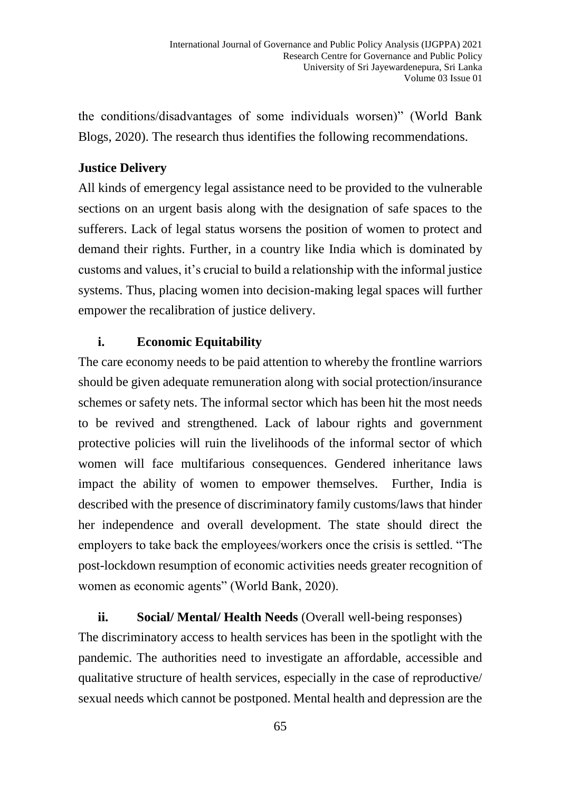the conditions/disadvantages of some individuals worsen)" (World Bank Blogs, 2020). The research thus identifies the following recommendations.

### **Justice Delivery**

All kinds of emergency legal assistance need to be provided to the vulnerable sections on an urgent basis along with the designation of safe spaces to the sufferers. Lack of legal status worsens the position of women to protect and demand their rights. Further, in a country like India which is dominated by customs and values, it's crucial to build a relationship with the informal justice systems. Thus, placing women into decision-making legal spaces will further empower the recalibration of justice delivery.

### **i. Economic Equitability**

The care economy needs to be paid attention to whereby the frontline warriors should be given adequate remuneration along with social protection/insurance schemes or safety nets. The informal sector which has been hit the most needs to be revived and strengthened. Lack of labour rights and government protective policies will ruin the livelihoods of the informal sector of which women will face multifarious consequences. Gendered inheritance laws impact the ability of women to empower themselves. Further, India is described with the presence of discriminatory family customs/laws that hinder her independence and overall development. The state should direct the employers to take back the employees/workers once the crisis is settled. "The post-lockdown resumption of economic activities needs greater recognition of women as economic agents" (World Bank, 2020).

## **ii. Social/ Mental/ Health Needs** (Overall well-being responses)

The discriminatory access to health services has been in the spotlight with the pandemic. The authorities need to investigate an affordable, accessible and qualitative structure of health services, especially in the case of reproductive/ sexual needs which cannot be postponed. Mental health and depression are the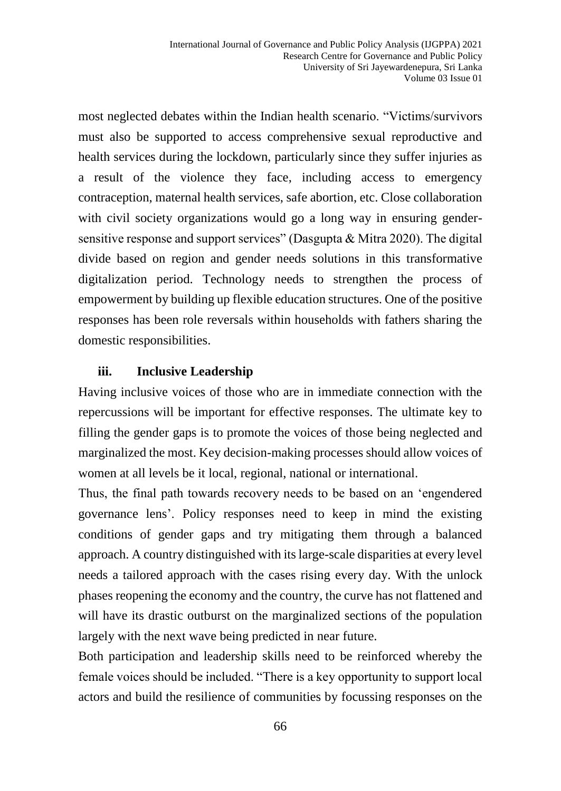most neglected debates within the Indian health scenario. "Victims/survivors must also be supported to access comprehensive sexual reproductive and health services during the lockdown, particularly since they suffer injuries as a result of the violence they face, including access to emergency contraception, maternal health services, safe abortion, etc. Close collaboration with civil society organizations would go a long way in ensuring gendersensitive response and support services" (Dasgupta & Mitra 2020). The digital divide based on region and gender needs solutions in this transformative digitalization period. Technology needs to strengthen the process of empowerment by building up flexible education structures. One of the positive responses has been role reversals within households with fathers sharing the domestic responsibilities.

### **iii. Inclusive Leadership**

Having inclusive voices of those who are in immediate connection with the repercussions will be important for effective responses. The ultimate key to filling the gender gaps is to promote the voices of those being neglected and marginalized the most. Key decision-making processes should allow voices of women at all levels be it local, regional, national or international.

Thus, the final path towards recovery needs to be based on an 'engendered governance lens'. Policy responses need to keep in mind the existing conditions of gender gaps and try mitigating them through a balanced approach. A country distinguished with its large-scale disparities at every level needs a tailored approach with the cases rising every day. With the unlock phases reopening the economy and the country, the curve has not flattened and will have its drastic outburst on the marginalized sections of the population largely with the next wave being predicted in near future.

Both participation and leadership skills need to be reinforced whereby the female voices should be included. "There is a key opportunity to support local actors and build the resilience of communities by focussing responses on the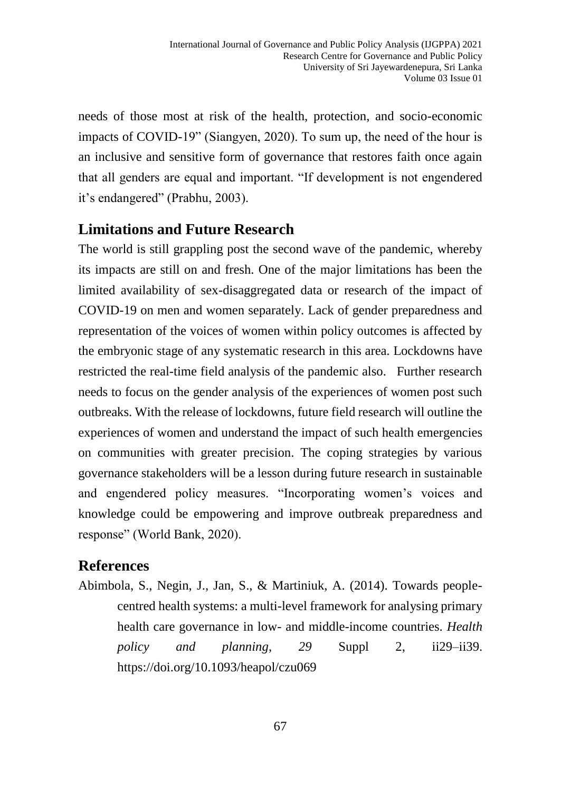needs of those most at risk of the health, protection, and socio-economic impacts of COVID-19" (Siangyen, 2020). To sum up, the need of the hour is an inclusive and sensitive form of governance that restores faith once again that all genders are equal and important. "If development is not engendered it's endangered" (Prabhu, 2003).

## **Limitations and Future Research**

The world is still grappling post the second wave of the pandemic, whereby its impacts are still on and fresh. One of the major limitations has been the limited availability of sex-disaggregated data or research of the impact of COVID-19 on men and women separately. Lack of gender preparedness and representation of the voices of women within policy outcomes is affected by the embryonic stage of any systematic research in this area. Lockdowns have restricted the real-time field analysis of the pandemic also. Further research needs to focus on the gender analysis of the experiences of women post such outbreaks. With the release of lockdowns, future field research will outline the experiences of women and understand the impact of such health emergencies on communities with greater precision. The coping strategies by various governance stakeholders will be a lesson during future research in sustainable and engendered policy measures. "Incorporating women's voices and knowledge could be empowering and improve outbreak preparedness and response" (World Bank, 2020).

## **References**

Abimbola, S., Negin, J., Jan, S., & Martiniuk, A. (2014). Towards peoplecentred health systems: a multi-level framework for analysing primary health care governance in low- and middle-income countries. *Health policy and planning*, *29* Suppl 2, ii29–ii39. <https://doi.org/10.1093/heapol/czu069>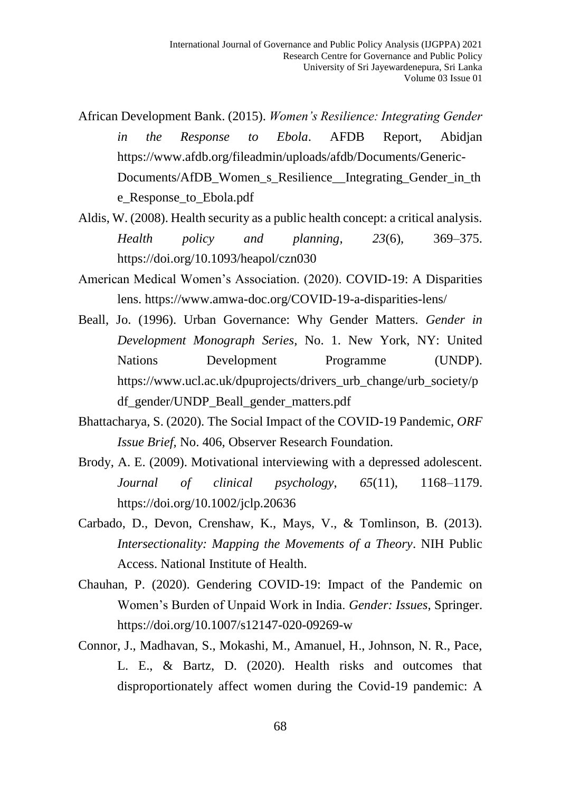- African Development Bank. (2015). *Women's Resilience: Integrating Gender in the Response to Ebola*. AFDB Report, Abidjan https://www.afdb.org/fileadmin/uploads/afdb/Documents/Generic-Documents/AfDB\_Women\_s\_Resilience\_\_Integrating\_Gender\_in\_th e\_Response\_to\_Ebola.pdf
- Aldis, W. (2008). Health security as a public health concept: a critical analysis. *Health policy and planning*, *23*(6), 369–375. <https://doi.org/10.1093/heapol/czn030>
- American Medical Women's Association. (2020). COVID-19: A Disparities lens. [https://www.amwa-doc.org/COVID-19-a-disparities-lens/](https://www.amwa-doc.org/covid-19-a-disparities-lens/)
- Beall, Jo. (1996). Urban Governance: Why Gender Matters. *Gender in Development Monograph Series,* No. 1. New York, NY: United Nations Development Programme (UNDP). https://www.ucl.ac.uk/dpuprojects/drivers\_urb\_change/urb\_society/p df\_gender/UNDP\_Beall\_gender\_matters.pdf
- Bhattacharya, S. (2020). The Social Impact of the COVID-19 Pandemic, *ORF Issue Brief,* No. 406, Observer Research Foundation.
- Brody, A. E. (2009). Motivational interviewing with a depressed adolescent. *Journal of clinical psychology*, *65*(11), 1168–1179. https://doi.org/10.1002/jclp.20636
- Carbado, D., Devon, Crenshaw, K., Mays, V., & Tomlinson, B. (2013). *Intersectionality: Mapping the Movements of a Theory*. NIH Public Access. National Institute of Health.
- Chauhan, P. (2020). Gendering COVID-19: Impact of the Pandemic on Women's Burden of Unpaid Work in India. *Gender: Issues*, Springer. <https://doi.org/10.1007/s12147-020-09269-w>
- Connor, J., Madhavan, S., Mokashi, M., Amanuel, H., Johnson, N. R., Pace, L. E., & Bartz, D. (2020). Health risks and outcomes that disproportionately affect women during the Covid-19 pandemic: A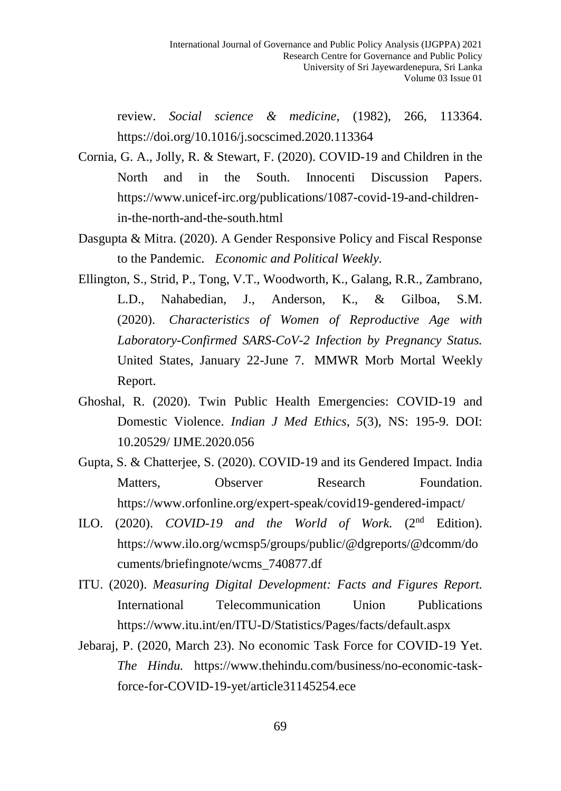review. *Social science & medicine,* (1982), 266, 113364. <https://doi.org/10.1016/j.socscimed.2020.113364>

- Cornia, G. A., Jolly, R. & Stewart, F. (2020). COVID-19 and Children in the North and in the South. Innocenti Discussion Papers. https://www.unicef-irc.org/publications/1087-covid-19-and-childrenin-the-north-and-the-south.html
- Dasgupta & Mitra. (2020). A Gender Responsive Policy and Fiscal Response to the Pandemic. *Economic and Political Weekly.*
- Ellington, S., Strid, P., Tong, V.T., Woodworth, K., Galang, R.R., Zambrano, L.D., Nahabedian, J., Anderson, K., & Gilboa, S.M. (2020). *Characteristics of Women of Reproductive Age with Laboratory-Confirmed SARS-CoV-2 Infection by Pregnancy Status.* United States, January 22-June 7. MMWR Morb Mortal Weekly Report.
- Ghoshal, R. (2020). Twin Public Health Emergencies: COVID-19 and Domestic Violence. *Indian J Med Ethics*, *5*(3), NS: 195-9. DOI: 10.20529/ IJME.2020.056
- Gupta, S. & Chatterjee, S. (2020). COVID-19 and its Gendered Impact. India Matters, Observer Research Foundation. <https://www.orfonline.org/expert-speak/covid19-gendered-impact/>
- ILO. (2020). *COVID-19 and the World of Work.* (2nd Edition). [https://www.ilo.org/wcmsp5/groups/public/@dgreports/@dcomm/do](https://www.ilo.org/wcmsp5/groups/public/@dgreports/@dcomm/documents/briefingnote/wcms_740877.df) [cuments/briefingnote/wcms\\_740877.df](https://www.ilo.org/wcmsp5/groups/public/@dgreports/@dcomm/documents/briefingnote/wcms_740877.df)
- ITU. (2020). *Measuring Digital Development: Facts and Figures Report.* International Telecommunication Union Publications https://www.itu.int/en/ITU-D/Statistics/Pages/facts/default.aspx
- Jebaraj, P. (2020, March 23). No economic Task Force for COVID-19 Yet. *The Hindu.* https://www.thehindu.com/business/no-economic-taskforce-for-COVID-19-yet/article31145254.ece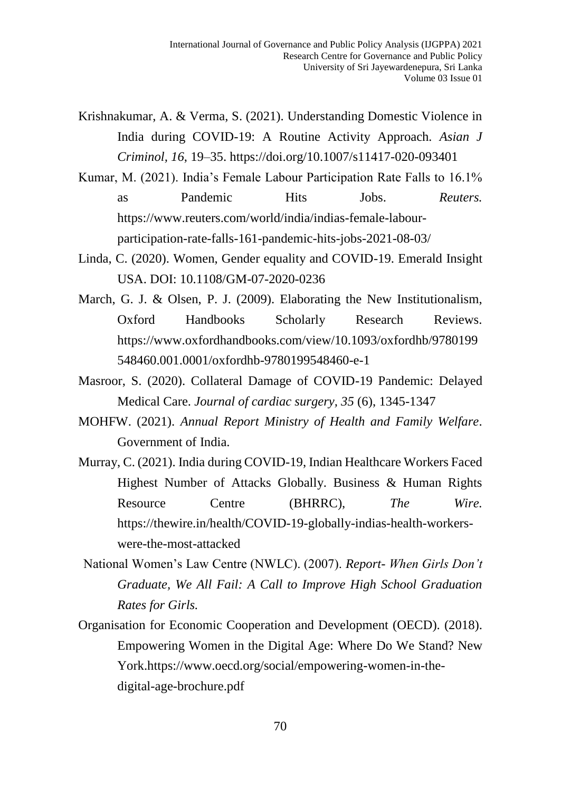- Krishnakumar, A. & Verma, S. (2021). Understanding Domestic Violence in India during COVID-19: A Routine Activity Approach*. Asian J Criminol, 16*, 19–35.<https://doi.org/10.1007/s11417-020-093401>
- Kumar, M. (2021). India's Female Labour Participation Rate Falls to 16.1% as Pandemic Hits Jobs. *Reuters.*  [https://www.reuters.com/world/india/indias-female-labour](https://www.reuters.com/world/india/indias-female-labour-participation-rate-falls-161-pandemic-hits-jobs-2021-08-03/)[participation-rate-falls-161-pandemic-hits-jobs-2021-08-03/](https://www.reuters.com/world/india/indias-female-labour-participation-rate-falls-161-pandemic-hits-jobs-2021-08-03/)
- Linda, C. (2020). Women, Gender equality and COVID-19. Emerald Insight USA. DOI: 10.1108/GM-07-2020-0236
- March, G. J. & Olsen, P. J. (2009). Elaborating the New Institutionalism, Oxford Handbooks Scholarly Research Reviews. [https://www.oxfordhandbooks.com/view/10.1093/oxfordhb/9780199](https://www.oxfordhandbooks.com/view/10.1093/oxfordhb/9780199548460.001.0001/oxfordhb-9780199548460-e-1) [548460.001.0001/oxfordhb-9780199548460-e-1](https://www.oxfordhandbooks.com/view/10.1093/oxfordhb/9780199548460.001.0001/oxfordhb-9780199548460-e-1)
- Masroor, S. (2020). Collateral Damage of COVID-19 Pandemic: Delayed Medical Care. *Journal of cardiac surgery, 35* (6), 1345-1347
- MOHFW. (2021). *Annual Report Ministry of Health and Family Welfare*. Government of India.
- Murray, C. (2021). India during COVID-19, Indian Healthcare Workers Faced Highest Number of Attacks Globally. Business & Human Rights Resource Centre (BHRRC), *The Wire.* https://thewire.in/health/COVID-19-globally-indias-health-workerswere-the-most-attacked
- National Women's Law Centre (NWLC). (2007). *Report- When Girls Don't Graduate, We All Fail: A Call to Improve High School Graduation Rates for Girls.*
- Organisation for Economic Cooperation and Development (OECD). (2018). Empowering Women in the Digital Age: Where Do We Stand? New York[.https://www.oecd.org/social/empowering-women-in-the](https://www.oecd.org/social/empowering-women-in-the-digital-age-brochure.pdf)[digital-age-brochure.pdf](https://www.oecd.org/social/empowering-women-in-the-digital-age-brochure.pdf)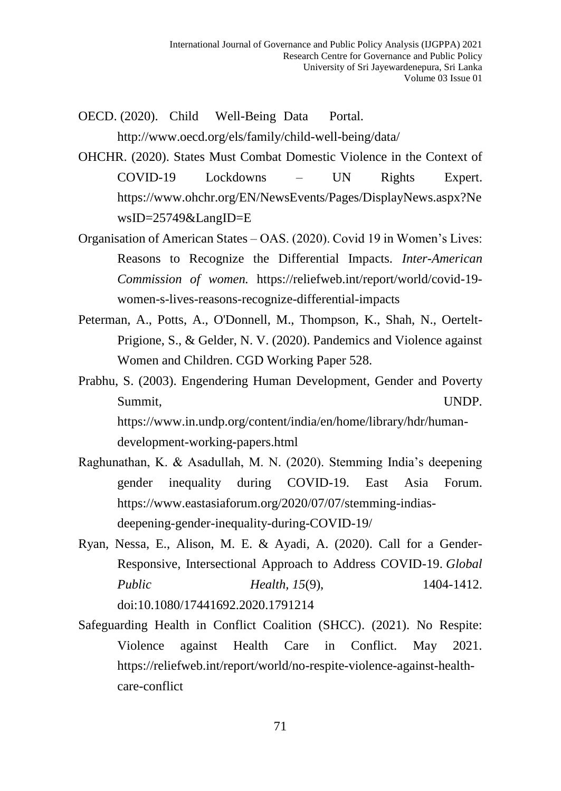- OECD. (2020). Child Well-Being Data Portal. <http://www.oecd.org/els/family/child-well-being/data/>
- OHCHR. (2020). States Must Combat Domestic Violence in the Context of COVID-19 Lockdowns – UN Rights Expert. [https://www.ohchr.org/EN/NewsEvents/Pages/DisplayNews.aspx?Ne](https://www.ohchr.org/EN/NewsEvents/Pages/DisplayNews.aspx?NewsID=25749&LangID=E) [wsID=25749&LangID=E](https://www.ohchr.org/EN/NewsEvents/Pages/DisplayNews.aspx?NewsID=25749&LangID=E)
- Organisation of American States OAS. (2020). Covid 19 in Women's Lives: Reasons to Recognize the Differential Impacts. *Inter-American Commission of women.* https://reliefweb.int/report/world/covid-19 women-s-lives-reasons-recognize-differential-impacts
- Peterman, A., Potts, A., O'Donnell, M., Thompson, K., Shah, N., Oertelt-Prigione, S., & Gelder, N. V. (2020). Pandemics and Violence against Women and Children. CGD Working Paper 528.
- Prabhu, S. (2003). Engendering Human Development, Gender and Poverty Summit, UNDP. https://www.in.undp.org/content/india/en/home/library/hdr/humandevelopment-working-papers.html
- Raghunathan, K. & Asadullah, M. N. (2020). Stemming India's deepening gender inequality during COVID-19. East Asia Forum. [https://www.eastasiaforum.org/2020/07/07/stemming-indias](https://www.eastasiaforum.org/2020/07/07/stemming-indias-deepening-gender-inequality-during-covid-19/)[deepening-gender-inequality-during-COVID-19/](https://www.eastasiaforum.org/2020/07/07/stemming-indias-deepening-gender-inequality-during-covid-19/)
- Ryan, Nessa, E., Alison, M. E. & Ayadi, A. (2020). Call for a Gender-Responsive, Intersectional Approach to Address COVID-19. *Global Public Health,* 15(9), 1404-1412. doi:10.1080/17441692.2020.1791214
- Safeguarding Health in Conflict Coalition (SHCC). (2021). No Respite: Violence against Health Care in Conflict. May 2021. https://reliefweb.int/report/world/no-respite-violence-against-healthcare-conflict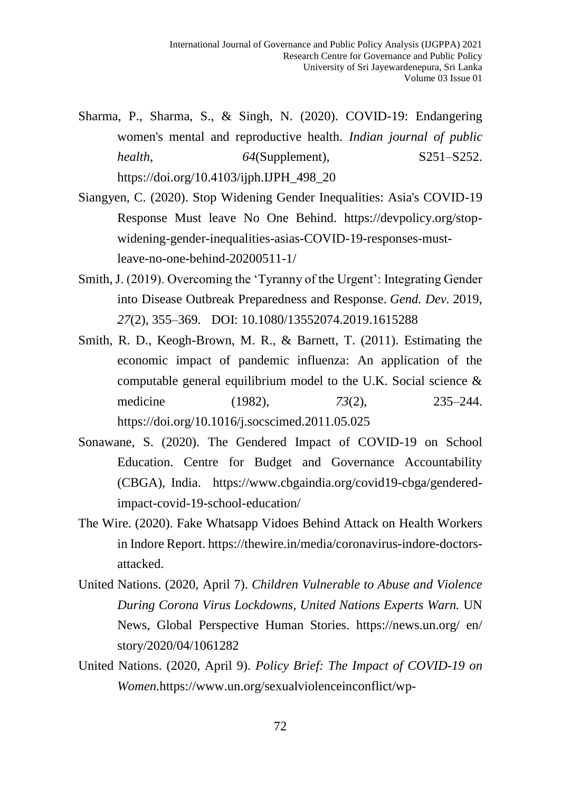- Sharma, P., Sharma, S., & Singh, N. (2020). COVID-19: Endangering women's mental and reproductive health. *Indian journal of public health*, *64*(Supplement), S251–S252. [https://doi.org/10.4103/ijph.IJPH\\_498\\_20](https://doi.org/10.4103/ijph.IJPH_498_20)
- Siangyen, C. (2020). Stop Widening Gender Inequalities: Asia's COVID-19 Response Must leave No One Behind. https://devpolicy.org/stopwidening-gender-inequalities-asias-COVID-19-responses-mustleave-no-one-behind-20200511-1/
- Smith, J. (2019). Overcoming the 'Tyranny of the Urgent': Integrating Gender into Disease Outbreak Preparedness and Response. *Gend. Dev.* 2019, *27*(2), 355–369. DOI: 10.1080/13552074.2019.1615288
- Smith, R. D., Keogh-Brown, M. R., & Barnett, T. (2011). Estimating the economic impact of pandemic influenza: An application of the computable general equilibrium model to the U.K. Social science & medicine (1982), *73*(2), 235–244. <https://doi.org/10.1016/j.socscimed.2011.05.025>
- Sonawane, S. (2020). The Gendered Impact of COVID-19 on School Education. Centre for Budget and Governance Accountability (CBGA), India. https://www.cbgaindia.org/covid19-cbga/genderedimpact-covid-19-school-education/
- The Wire. (2020). Fake Whatsapp Vidoes Behind Attack on Health Workers in Indore Report. https://thewire.in/media/coronavirus-indore-doctorsattacked.
- United Nations. (2020, April 7). *Children Vulnerable to Abuse and Violence During Corona Virus Lockdowns, United Nations Experts Warn.* UN News, Global Perspective Human Stories. https://news.un.org/ en/ story/2020/04/1061282
- United Nations. (2020, April 9). *Policy Brief: The Impact of COVID-19 on Women.*[https://www.un.org/sexualviolenceinconflict/wp-](https://www.un.org/sexualviolenceinconflict/wp-content/uploads/2020/06/report/policy-brief-the-impact-of-covid-19-on-women/policy-brief-the-impact-of-covid-19-on-women-en-1.pdf)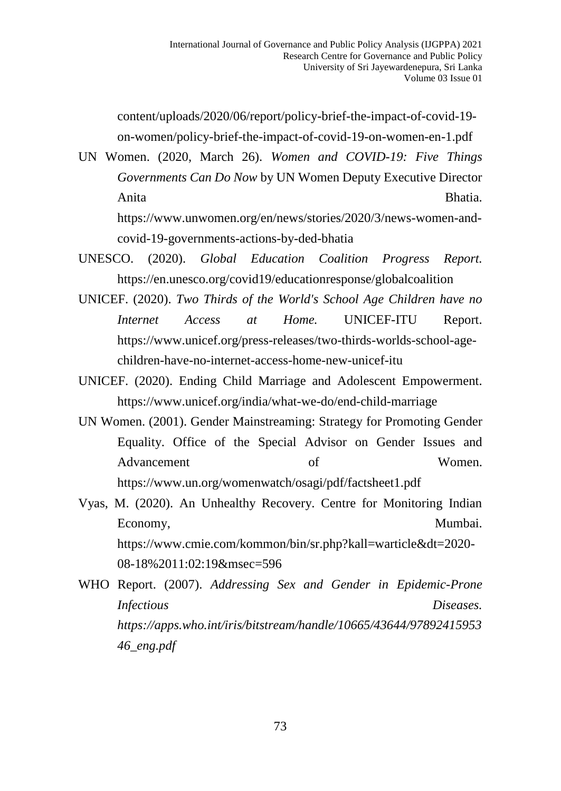[content/uploads/2020/06/report/policy-brief-the-impact-of-covid-19](https://www.un.org/sexualviolenceinconflict/wp-content/uploads/2020/06/report/policy-brief-the-impact-of-covid-19-on-women/policy-brief-the-impact-of-covid-19-on-women-en-1.pdf) [on-women/policy-brief-the-impact-of-covid-19-on-women-en-1.pdf](https://www.un.org/sexualviolenceinconflict/wp-content/uploads/2020/06/report/policy-brief-the-impact-of-covid-19-on-women/policy-brief-the-impact-of-covid-19-on-women-en-1.pdf)

UN Women. (2020, March 26). *Women and COVID-19: Five Things Governments Can Do Now* by UN Women Deputy Executive Director Anita Bhatia. https://www.unwomen.org/en/news/stories/2020/3/news-women-andcovid-19-governments-actions-by-ded-bhatia

- UNESCO. (2020). *Global Education Coalition Progress Report.*  https://en.unesco.org/covid19/educationresponse/globalcoalition
- UNICEF. (2020). *Two Thirds of the World's School Age Children have no Internet Access at Home.* UNICEF-ITU Report. https://www.unicef.org/press-releases/two-thirds-worlds-school-agechildren-have-no-internet-access-home-new-unicef-itu
- UNICEF. (2020). Ending Child Marriage and Adolescent Empowerment. <https://www.unicef.org/india/what-we-do/end-child-marriage>
- UN Women. (2001). Gender Mainstreaming: Strategy for Promoting Gender Equality. Office of the Special Advisor on Gender Issues and Advancement of Women. https://www.un.org/womenwatch/osagi/pdf/factsheet1.pdf
- Vyas, M. (2020). An Unhealthy Recovery. Centre for Monitoring Indian Economy, Mumbai. https://www.cmie.com/kommon/bin/sr.php?kall=warticle&dt=2020- 08-18%2011:02:19&msec=596
- WHO Report. (2007). *Addressing Sex and Gender in Epidemic-Prone Infectious Diseases. https://apps.who.int/iris/bitstream/handle/10665/43644/97892415953 46\_eng.pdf*